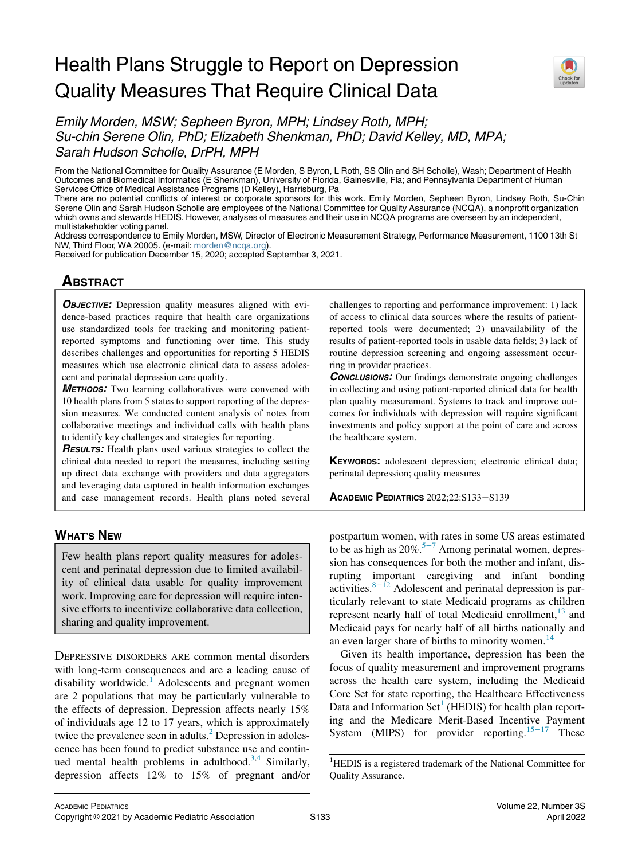# Health Plans Struggle to Report on Depression Quality Measures That Require Clinical Data



Emily Morden, MSW; Sepheen Byron, MPH; Lindsey Roth, MPH; Su-chin Serene Olin, PhD; Elizabeth Shenkman, PhD; David Kelley, MD, MPA; Sarah Hudson Scholle, DrPH, MPH

From the National Committee for Quality Assurance (E Morden, S Byron, L Roth, SS Olin and SH Scholle), Wash; Department of Health Outcomes and Biomedical Informatics (E Shenkman), University of Florida, Gainesville, Fla; and Pennsylvania Department of Human Services Office of Medical Assistance Programs (D Kelley), Harrisburg, Pa

There are no potential conflicts of interest or corporate sponsors for this work. Emily Morden, Sepheen Byron, Lindsey Roth, Su-Chin Serene Olin and Sarah Hudson Scholle are employees of the National Committee for Quality Assurance (NCQA), a nonprofit organization which owns and stewards HEDIS. However, analyses of measures and their use in NCQA programs are overseen by an independent, multistakeholder voting panel.

Address correspondence to Emily Morden, MSW, Director of Electronic Measurement Strategy, Performance Measurement, 1100 13th St NW, Third Floor, WA 20005. (e-mail: [morden@ncqa.org\)](mailto:morden@ncqa.org).

Received for publication December 15, 2020; accepted September 3, 2021.

## **ABSTRACT**

**OBJECTIVE:** Depression quality measures aligned with evidence-based practices require that health care organizations use standardized tools for tracking and monitoring patientreported symptoms and functioning over time. This study describes challenges and opportunities for reporting 5 HEDIS measures which use electronic clinical data to assess adolescent and perinatal depression care quality.

**METHODS:** Two learning collaboratives were convened with 10 health plans from 5 states to support reporting of the depression measures. We conducted content analysis of notes from collaborative meetings and individual calls with health plans to identify key challenges and strategies for reporting.

**RESULTS:** Health plans used various strategies to collect the clinical data needed to report the measures, including setting up direct data exchange with providers and data aggregators and leveraging data captured in health information exchanges and case management records. Health plans noted several

## WHAT'S NEW

Few health plans report quality measures for adolescent and perinatal depression due to limited availability of clinical data usable for quality improvement work. Improving care for depression will require intensive efforts to incentivize collaborative data collection, sharing and quality improvement.

<span id="page-0-0"></span>DEPRESSIVE DISORDERS ARE common mental disorders with long-term consequences and are a leading cause of disability worldwide. $<sup>1</sup>$  $<sup>1</sup>$  $<sup>1</sup>$  Adolescents and pregnant women</sup> are 2 populations that may be particularly vulnerable to the effects of depression. Depression affects nearly 15% of individuals age 12 to 17 years, which is approximately twice the prevalence seen in adults.<sup>[2](#page-5-1)</sup> Depression in adolescence has been found to predict substance use and contin-ued mental health problems in adulthood.<sup>[3](#page-5-2),[4](#page-5-3)</sup> Similarly, depression affects 12% to 15% of pregnant and/or

challenges to reporting and performance improvement: 1) lack of access to clinical data sources where the results of patientreported tools were documented; 2) unavailability of the results of patient-reported tools in usable data fields; 3) lack of routine depression screening and ongoing assessment occurring in provider practices.

**CONCLUSIONS:** Our findings demonstrate ongoing challenges in collecting and using patient-reported clinical data for health plan quality measurement. Systems to track and improve outcomes for individuals with depression will require significant investments and policy support at the point of care and across the healthcare system.

KEYWORDS: adolescent depression; electronic clinical data; perinatal depression; quality measures

ACADEMIC PEDIATRICS 2022;22:S133−S139

postpartum women, with rates in some US areas estimated to be as high as  $20\%$ <sup>5[−](#page-5-4)7</sup> Among perinatal women, depression has consequences for both the mother and infant, disrupting important caregiving and infant bonding activities.<sup>8−[12](#page-5-5)</sup> Adolescent and perinatal depression is particularly relevant to state Medicaid programs as children represent nearly half of total Medicaid enrollment, $13$  and Medicaid pays for nearly half of all births nationally and an even larger share of births to minority women.<sup>[14](#page-6-0)</sup>

Given its health importance, depression has been the focus of quality measurement and improvement programs across the health care system, including the Medicaid Core Set for state reporting, the Healthcare Effectiveness Data and Information  $Set<sup>1</sup>$  $Set<sup>1</sup>$  $Set<sup>1</sup>$  (HEDIS) for health plan reporting and the Medicare Merit-Based Incentive Payment System (MIPS) for provider reporting.<sup>15−[17](#page-6-1)</sup> These

<sup>&</sup>lt;sup>1</sup>HEDIS is a registered trademark of the National Committee for Quality Assurance.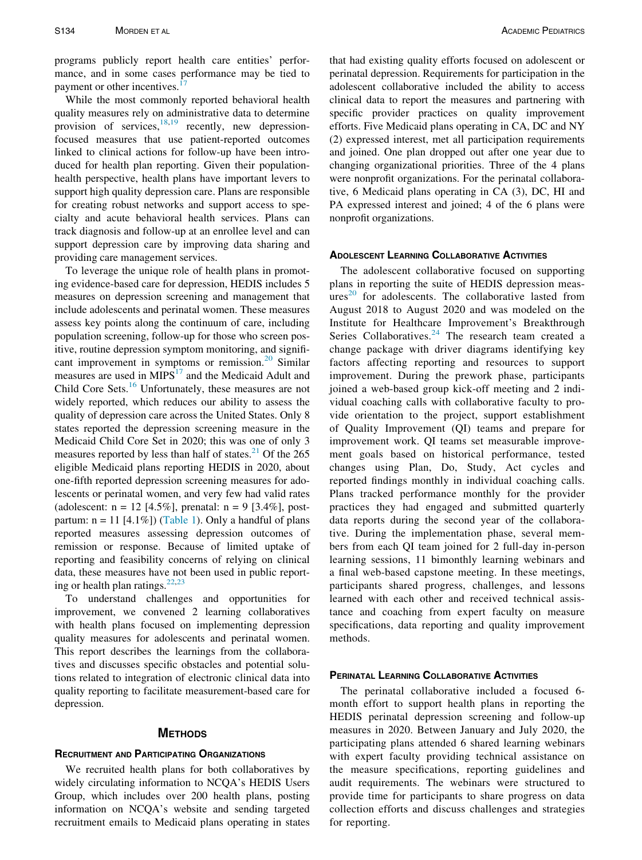programs publicly report health care entities' performance, and in some cases performance may be tied to payment or other incentives.<sup>1</sup>

While the most commonly reported behavioral health quality measures rely on administrative data to determine provision of services,  $18,19$  $18,19$  $18,19$  recently, new depressionfocused measures that use patient-reported outcomes linked to clinical actions for follow-up have been introduced for health plan reporting. Given their populationhealth perspective, health plans have important levers to support high quality depression care. Plans are responsible for creating robust networks and support access to specialty and acute behavioral health services. Plans can track diagnosis and follow-up at an enrollee level and can support depression care by improving data sharing and providing care management services.

To leverage the unique role of health plans in promoting evidence-based care for depression, HEDIS includes 5 measures on depression screening and management that include adolescents and perinatal women. These measures assess key points along the continuum of care, including population screening, follow-up for those who screen positive, routine depression symptom monitoring, and signifi-cant improvement in symptoms or remission.<sup>[20](#page-6-5)</sup> Similar measures are used in  $MIPS<sup>17</sup>$  and the Medicaid Adult and Child Core Sets.<sup>16</sup> Unfortunately, these measures are not widely reported, which reduces our ability to assess the quality of depression care across the United States. Only 8 states reported the depression screening measure in the Medicaid Child Core Set in 2020; this was one of only 3 measures reported by less than half of states. $^{21}$  Of the 265 eligible Medicaid plans reporting HEDIS in 2020, about one-fifth reported depression screening measures for adolescents or perinatal women, and very few had valid rates (adolescent:  $n = 12$  [4.5%], prenatal:  $n = 9$  [3.4%], postpartum:  $n = 11$  [4.1%]) ([Table 1](#page-2-0)). Only a handful of plans reported measures assessing depression outcomes of remission or response. Because of limited uptake of reporting and feasibility concerns of relying on clinical data, these measures have not been used in public reporting or health plan ratings. $22,23$  $22,23$ 

To understand challenges and opportunities for improvement, we convened 2 learning collaboratives with health plans focused on implementing depression quality measures for adolescents and perinatal women. This report describes the learnings from the collaboratives and discusses specific obstacles and potential solutions related to integration of electronic clinical data into quality reporting to facilitate measurement-based care for depression.

#### **METHODS**

## RECRUITMENT AND PARTICIPATING ORGANIZATIONS

We recruited health plans for both collaboratives by widely circulating information to NCQA's HEDIS Users Group, which includes over 200 health plans, posting information on NCQA's website and sending targeted recruitment emails to Medicaid plans operating in states that had existing quality efforts focused on adolescent or perinatal depression. Requirements for participation in the adolescent collaborative included the ability to access clinical data to report the measures and partnering with specific provider practices on quality improvement efforts. Five Medicaid plans operating in CA, DC and NY (2) expressed interest, met all participation requirements and joined. One plan dropped out after one year due to changing organizational priorities. Three of the 4 plans were nonprofit organizations. For the perinatal collaborative, 6 Medicaid plans operating in CA (3), DC, HI and PA expressed interest and joined; 4 of the 6 plans were nonprofit organizations.

## ADOLESCENT LEARNING COLLABORATIVE ACTIVITIES

The adolescent collaborative focused on supporting plans in reporting the suite of HEDIS depression meas- $ures<sup>20</sup>$  $ures<sup>20</sup>$  $ures<sup>20</sup>$  for adolescents. The collaborative lasted from August 2018 to August 2020 and was modeled on the Institute for Healthcare Improvement's Breakthrough Series Collaboratives. $24$  The research team created a change package with driver diagrams identifying key factors affecting reporting and resources to support improvement. During the prework phase, participants joined a web-based group kick-off meeting and 2 individual coaching calls with collaborative faculty to provide orientation to the project, support establishment of Quality Improvement (QI) teams and prepare for improvement work. QI teams set measurable improvement goals based on historical performance, tested changes using Plan, Do, Study, Act cycles and reported findings monthly in individual coaching calls. Plans tracked performance monthly for the provider practices they had engaged and submitted quarterly data reports during the second year of the collaborative. During the implementation phase, several members from each QI team joined for 2 full-day in-person learning sessions, 11 bimonthly learning webinars and a final web-based capstone meeting. In these meetings, participants shared progress, challenges, and lessons learned with each other and received technical assistance and coaching from expert faculty on measure specifications, data reporting and quality improvement methods.

## PERINATAL LEARNING COLLABORATIVE ACTIVITIES

The perinatal collaborative included a focused 6 month effort to support health plans in reporting the HEDIS perinatal depression screening and follow-up measures in 2020. Between January and July 2020, the participating plans attended 6 shared learning webinars with expert faculty providing technical assistance on the measure specifications, reporting guidelines and audit requirements. The webinars were structured to provide time for participants to share progress on data collection efforts and discuss challenges and strategies for reporting.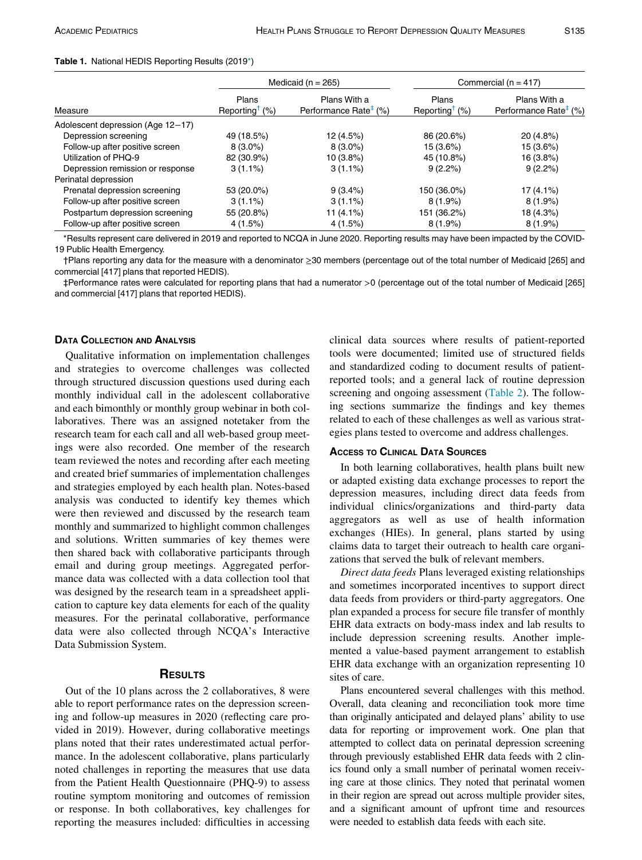#### <span id="page-2-0"></span>Table 1. National HEDIS Reporting Results (2019[\\*\)](#page-2-1)

|                                   | Medicaid ( $n = 265$ )                                  |                                                   | Commercial ( $n = 417$ )                                |                                                   |  |
|-----------------------------------|---------------------------------------------------------|---------------------------------------------------|---------------------------------------------------------|---------------------------------------------------|--|
| Measure                           | Plans<br>Reporting <sup><math>\uparrow</math></sup> (%) | Plans With a<br>Performance Rate <sup>‡</sup> (%) | Plans<br>Reporting <sup><math>\uparrow</math></sup> (%) | Plans With a<br>Performance Rate <sup>#</sup> (%) |  |
| Adolescent depression (Age 12-17) |                                                         |                                                   |                                                         |                                                   |  |
| Depression screening              | 49 (18.5%)                                              | 12(4.5%)                                          | 86 (20.6%)                                              | $20(4.8\%)$                                       |  |
| Follow-up after positive screen   | $8(3.0\%)$                                              | $8(3.0\%)$                                        | 15 (3.6%)                                               | 15 (3.6%)                                         |  |
| Utilization of PHQ-9              | 82 (30.9%)                                              | 10(3.8%)                                          | 45 (10.8%)                                              | 16 (3.8%)                                         |  |
| Depression remission or response  | $3(1.1\%)$                                              | $3(1.1\%)$                                        | $9(2.2\%)$                                              | 9(2.2%)                                           |  |
| Perinatal depression              |                                                         |                                                   |                                                         |                                                   |  |
| Prenatal depression screening     | 53 (20.0%)                                              | $9(3.4\%)$                                        | 150 (36.0%)                                             | 17 (4.1%)                                         |  |
| Follow-up after positive screen   | $3(1.1\%)$                                              | $3(1.1\%)$                                        | $8(1.9\%)$                                              | $8(1.9\%)$                                        |  |
| Postpartum depression screening   | 55 (20.8%)                                              | 11 $(4.1\%)$                                      | 151 (36.2%)                                             | 18 (4.3%)                                         |  |
| Follow-up after positive screen   | 4(1.5%)                                                 | 4(1.5%)                                           | $8(1.9\%)$                                              | $8(1.9\%)$                                        |  |

<span id="page-2-1"></span>\*Results represent care delivered in 2019 and reported to NCQA in June 2020. Reporting results may have been impacted by the COVID-19 Public Health Emergency.

<span id="page-2-3"></span><span id="page-2-2"></span>†Plans reporting any data for the measure with a denominator ≥30 members (percentage out of the total number of Medicaid [265] and commercial [417] plans that reported HEDIS).

‡Performance rates were calculated for reporting plans that had a numerator >0 (percentage out of the total number of Medicaid [265] and commercial [417] plans that reported HEDIS).

## DATA COLLECTION AND ANALYSIS

Qualitative information on implementation challenges and strategies to overcome challenges was collected through structured discussion questions used during each monthly individual call in the adolescent collaborative and each bimonthly or monthly group webinar in both collaboratives. There was an assigned notetaker from the research team for each call and all web-based group meetings were also recorded. One member of the research team reviewed the notes and recording after each meeting and created brief summaries of implementation challenges and strategies employed by each health plan. Notes-based analysis was conducted to identify key themes which were then reviewed and discussed by the research team monthly and summarized to highlight common challenges and solutions. Written summaries of key themes were then shared back with collaborative participants through email and during group meetings. Aggregated performance data was collected with a data collection tool that was designed by the research team in a spreadsheet application to capture key data elements for each of the quality measures. For the perinatal collaborative, performance data were also collected through NCQA's Interactive Data Submission System.

## **RESULTS**

Out of the 10 plans across the 2 collaboratives, 8 were able to report performance rates on the depression screening and follow-up measures in 2020 (reflecting care provided in 2019). However, during collaborative meetings plans noted that their rates underestimated actual performance. In the adolescent collaborative, plans particularly noted challenges in reporting the measures that use data from the Patient Health Questionnaire (PHQ-9) to assess routine symptom monitoring and outcomes of remission or response. In both collaboratives, key challenges for reporting the measures included: difficulties in accessing

clinical data sources where results of patient-reported tools were documented; limited use of structured fields and standardized coding to document results of patientreported tools; and a general lack of routine depression screening and ongoing assessment [\(Table 2](#page-3-0)). The following sections summarize the findings and key themes related to each of these challenges as well as various strategies plans tested to overcome and address challenges.

#### ACCESS TO CLINICAL DATA SOURCES

In both learning collaboratives, health plans built new or adapted existing data exchange processes to report the depression measures, including direct data feeds from individual clinics/organizations and third-party data aggregators as well as use of health information exchanges (HIEs). In general, plans started by using claims data to target their outreach to health care organizations that served the bulk of relevant members.

Direct data feeds Plans leveraged existing relationships and sometimes incorporated incentives to support direct data feeds from providers or third-party aggregators. One plan expanded a process for secure file transfer of monthly EHR data extracts on body-mass index and lab results to include depression screening results. Another implemented a value-based payment arrangement to establish EHR data exchange with an organization representing 10 sites of care.

Plans encountered several challenges with this method. Overall, data cleaning and reconciliation took more time than originally anticipated and delayed plans' ability to use data for reporting or improvement work. One plan that attempted to collect data on perinatal depression screening through previously established EHR data feeds with 2 clinics found only a small number of perinatal women receiving care at those clinics. They noted that perinatal women in their region are spread out across multiple provider sites, and a significant amount of upfront time and resources were needed to establish data feeds with each site.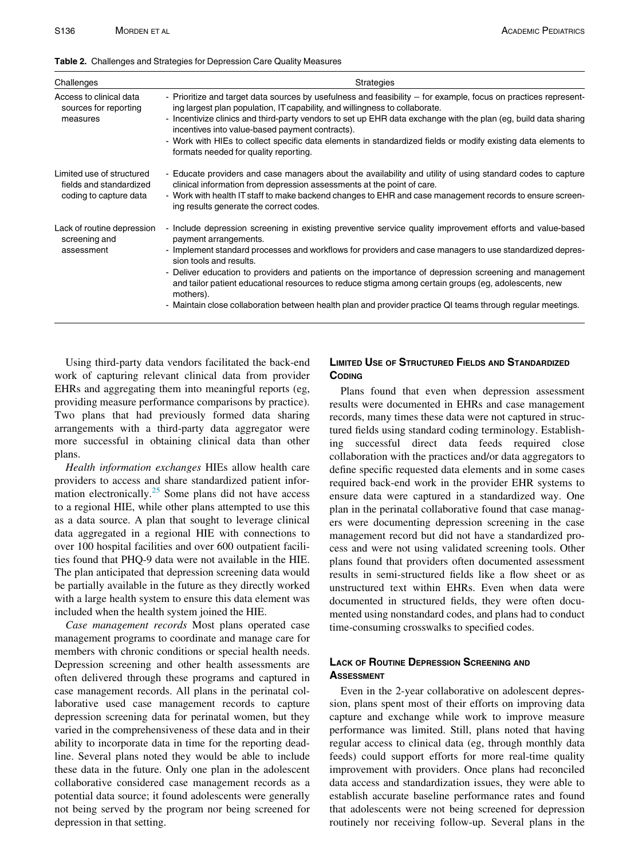<span id="page-3-0"></span>

|  | Table 2. Challenges and Strategies for Depression Care Quality Measures |  |  |
|--|-------------------------------------------------------------------------|--|--|
|  |                                                                         |  |  |

| Challenges                                                                     | <b>Strategies</b>                                                                                                                                                                                                                                                                                                                                                                                                                                                                                                                                                                                                       |
|--------------------------------------------------------------------------------|-------------------------------------------------------------------------------------------------------------------------------------------------------------------------------------------------------------------------------------------------------------------------------------------------------------------------------------------------------------------------------------------------------------------------------------------------------------------------------------------------------------------------------------------------------------------------------------------------------------------------|
| Access to clinical data<br>sources for reporting<br>measures                   | - Prioritize and target data sources by usefulness and feasibility - for example, focus on practices represent-<br>ing largest plan population, IT capability, and willingness to collaborate.<br>- Incentivize clinics and third-party vendors to set up EHR data exchange with the plan (eg, build data sharing<br>incentives into value-based payment contracts).<br>- Work with HIEs to collect specific data elements in standardized fields or modify existing data elements to<br>formats needed for quality reporting.                                                                                          |
| Limited use of structured<br>fields and standardized<br>coding to capture data | - Educate providers and case managers about the availability and utility of using standard codes to capture<br>clinical information from depression assessments at the point of care.<br>- Work with health IT staff to make backend changes to EHR and case management records to ensure screen-<br>ing results generate the correct codes.                                                                                                                                                                                                                                                                            |
| Lack of routine depression<br>screening and<br>assessment                      | - Include depression screening in existing preventive service quality improvement efforts and value-based<br>payment arrangements.<br>- Implement standard processes and workflows for providers and case managers to use standardized depres-<br>sion tools and results.<br>- Deliver education to providers and patients on the importance of depression screening and management<br>and tailor patient educational resources to reduce stigma among certain groups (eg, adolescents, new<br>mothers).<br>- Maintain close collaboration between health plan and provider practice QI teams through regular meetings. |

Using third-party data vendors facilitated the back-end work of capturing relevant clinical data from provider EHRs and aggregating them into meaningful reports (eg, providing measure performance comparisons by practice). Two plans that had previously formed data sharing arrangements with a third-party data aggregator were more successful in obtaining clinical data than other plans.

Health information exchanges HIEs allow health care providers to access and share standardized patient infor-mation electronically.<sup>[25](#page-6-11)</sup> Some plans did not have access to a regional HIE, while other plans attempted to use this as a data source. A plan that sought to leverage clinical data aggregated in a regional HIE with connections to over 100 hospital facilities and over 600 outpatient facilities found that PHQ-9 data were not available in the HIE. The plan anticipated that depression screening data would be partially available in the future as they directly worked with a large health system to ensure this data element was included when the health system joined the HIE.

Case management records Most plans operated case management programs to coordinate and manage care for members with chronic conditions or special health needs. Depression screening and other health assessments are often delivered through these programs and captured in case management records. All plans in the perinatal collaborative used case management records to capture depression screening data for perinatal women, but they varied in the comprehensiveness of these data and in their ability to incorporate data in time for the reporting deadline. Several plans noted they would be able to include these data in the future. Only one plan in the adolescent collaborative considered case management records as a potential data source; it found adolescents were generally not being served by the program nor being screened for depression in that setting.

## LIMITED USE OF STRUCTURED FIELDS AND STANDARDIZED **CODING**

Plans found that even when depression assessment results were documented in EHRs and case management records, many times these data were not captured in structured fields using standard coding terminology. Establishing successful direct data feeds required close collaboration with the practices and/or data aggregators to define specific requested data elements and in some cases required back-end work in the provider EHR systems to ensure data were captured in a standardized way. One plan in the perinatal collaborative found that case managers were documenting depression screening in the case management record but did not have a standardized process and were not using validated screening tools. Other plans found that providers often documented assessment results in semi-structured fields like a flow sheet or as unstructured text within EHRs. Even when data were documented in structured fields, they were often documented using nonstandard codes, and plans had to conduct time-consuming crosswalks to specified codes.

## LACK OF ROUTINE DEPRESSION SCREENING AND **ASSESSMENT**

Even in the 2-year collaborative on adolescent depression, plans spent most of their efforts on improving data capture and exchange while work to improve measure performance was limited. Still, plans noted that having regular access to clinical data (eg, through monthly data feeds) could support efforts for more real-time quality improvement with providers. Once plans had reconciled data access and standardization issues, they were able to establish accurate baseline performance rates and found that adolescents were not being screened for depression routinely nor receiving follow-up. Several plans in the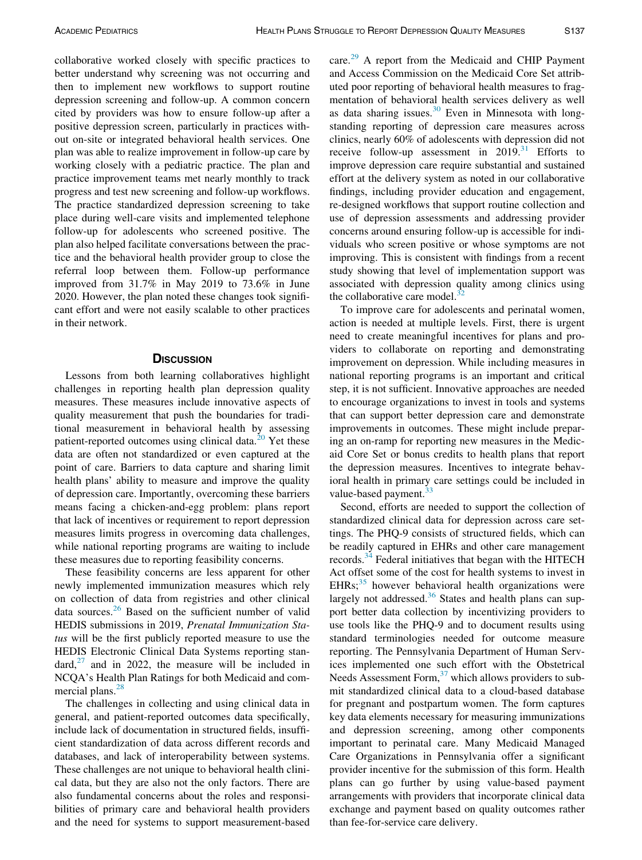collaborative worked closely with specific practices to better understand why screening was not occurring and then to implement new workflows to support routine depression screening and follow-up. A common concern cited by providers was how to ensure follow-up after a positive depression screen, particularly in practices without on-site or integrated behavioral health services. One plan was able to realize improvement in follow-up care by working closely with a pediatric practice. The plan and practice improvement teams met nearly monthly to track progress and test new screening and follow-up workflows. The practice standardized depression screening to take place during well-care visits and implemented telephone follow-up for adolescents who screened positive. The plan also helped facilitate conversations between the practice and the behavioral health provider group to close the referral loop between them. Follow-up performance improved from 31.7% in May 2019 to 73.6% in June 2020. However, the plan noted these changes took significant effort and were not easily scalable to other practices in their network.

## **DISCUSSION**

Lessons from both learning collaboratives highlight challenges in reporting health plan depression quality measures. These measures include innovative aspects of quality measurement that push the boundaries for traditional measurement in behavioral health by assessing patient-reported outcomes using clinical data.<sup>[20](#page-6-5)</sup> Yet these data are often not standardized or even captured at the point of care. Barriers to data capture and sharing limit health plans' ability to measure and improve the quality of depression care. Importantly, overcoming these barriers means facing a chicken-and-egg problem: plans report that lack of incentives or requirement to report depression measures limits progress in overcoming data challenges, while national reporting programs are waiting to include these measures due to reporting feasibility concerns.

These feasibility concerns are less apparent for other newly implemented immunization measures which rely on collection of data from registries and other clinical data sources.[26](#page-6-12) Based on the sufficient number of valid HEDIS submissions in 2019, Prenatal Immunization Status will be the first publicly reported measure to use the HEDIS Electronic Clinical Data Systems reporting stan- $\text{dard}$ ,  $^{27}$  $^{27}$  $^{27}$  and in 2022, the measure will be included in NCQA's Health Plan Ratings for both Medicaid and commercial plans. $28$ 

The challenges in collecting and using clinical data in general, and patient-reported outcomes data specifically, include lack of documentation in structured fields, insufficient standardization of data across different records and databases, and lack of interoperability between systems. These challenges are not unique to behavioral health clinical data, but they are also not the only factors. There are also fundamental concerns about the roles and responsibilities of primary care and behavioral health providers and the need for systems to support measurement-based care.<sup>[29](#page-6-15)</sup> A report from the Medicaid and CHIP Payment and Access Commission on the Medicaid Core Set attributed poor reporting of behavioral health measures to fragmentation of behavioral health services delivery as well as data sharing issues. $30$  Even in Minnesota with longstanding reporting of depression care measures across clinics, nearly 60% of adolescents with depression did not receive follow-up assessment in  $2019$ .<sup>31</sup> Efforts to improve depression care require substantial and sustained effort at the delivery system as noted in our collaborative findings, including provider education and engagement, re-designed workflows that support routine collection and use of depression assessments and addressing provider concerns around ensuring follow-up is accessible for individuals who screen positive or whose symptoms are not improving. This is consistent with findings from a recent study showing that level of implementation support was associated with depression quality among clinics using the collaborative care model. $3$ 

To improve care for adolescents and perinatal women, action is needed at multiple levels. First, there is urgent need to create meaningful incentives for plans and providers to collaborate on reporting and demonstrating improvement on depression. While including measures in national reporting programs is an important and critical step, it is not sufficient. Innovative approaches are needed to encourage organizations to invest in tools and systems that can support better depression care and demonstrate improvements in outcomes. These might include preparing an on-ramp for reporting new measures in the Medicaid Core Set or bonus credits to health plans that report the depression measures. Incentives to integrate behavioral health in primary care settings could be included in value-based payment.<sup>[33](#page-6-19)</sup>

Second, efforts are needed to support the collection of standardized clinical data for depression across care settings. The PHQ-9 consists of structured fields, which can be readily captured in EHRs and other care management records.<sup>[34](#page-6-20)</sup> Federal initiatives that began with the HITECH Act offset some of the cost for health systems to invest in EHRs; $35$  however behavioral health organizations were largely not addressed. $36$  States and health plans can support better data collection by incentivizing providers to use tools like the PHQ-9 and to document results using standard terminologies needed for outcome measure reporting. The Pennsylvania Department of Human Services implemented one such effort with the Obstetrical Needs Assessment Form, $37$  which allows providers to submit standardized clinical data to a cloud-based database for pregnant and postpartum women. The form captures key data elements necessary for measuring immunizations and depression screening, among other components important to perinatal care. Many Medicaid Managed Care Organizations in Pennsylvania offer a significant provider incentive for the submission of this form. Health plans can go further by using value-based payment arrangements with providers that incorporate clinical data exchange and payment based on quality outcomes rather than fee-for-service care delivery.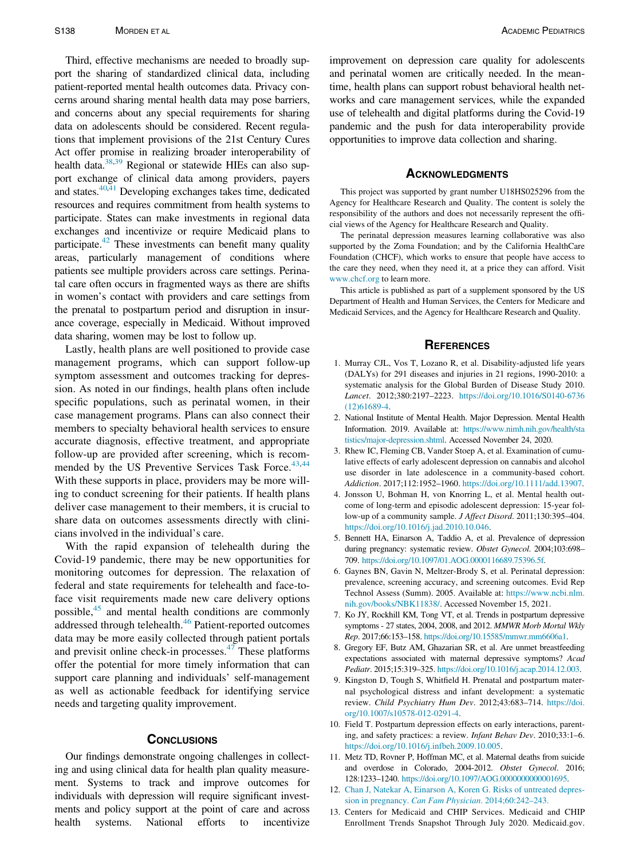Third, effective mechanisms are needed to broadly support the sharing of standardized clinical data, including patient-reported mental health outcomes data. Privacy concerns around sharing mental health data may pose barriers, and concerns about any special requirements for sharing data on adolescents should be considered. Recent regulations that implement provisions of the 21st Century Cures Act offer promise in realizing broader interoperability of health data.<sup>[38](#page-6-24)[,39](#page-6-25)</sup> Regional or statewide HIEs can also support exchange of clinical data among providers, payers and states. $40,41$  $40,41$  Developing exchanges takes time, dedicated resources and requires commitment from health systems to participate. States can make investments in regional data exchanges and incentivize or require Medicaid plans to participate.<sup>42</sup> These investments can benefit many quality areas, particularly management of conditions where patients see multiple providers across care settings. Perinatal care often occurs in fragmented ways as there are shifts in women's contact with providers and care settings from the prenatal to postpartum period and disruption in insurance coverage, especially in Medicaid. Without improved data sharing, women may be lost to follow up.

<span id="page-5-1"></span><span id="page-5-0"></span>Lastly, health plans are well positioned to provide case management programs, which can support follow-up symptom assessment and outcomes tracking for depression. As noted in our findings, health plans often include specific populations, such as perinatal women, in their case management programs. Plans can also connect their members to specialty behavioral health services to ensure accurate diagnosis, effective treatment, and appropriate follow-up are provided after screening, which is recom-mended by the US Preventive Services Task Force.<sup>[43](#page-6-29),[44](#page-6-30)</sup> With these supports in place, providers may be more willing to conduct screening for their patients. If health plans deliver case management to their members, it is crucial to share data on outcomes assessments directly with clinicians involved in the individual's care.

<span id="page-5-5"></span><span id="page-5-4"></span><span id="page-5-3"></span><span id="page-5-2"></span>With the rapid expansion of telehealth during the Covid-19 pandemic, there may be new opportunities for monitoring outcomes for depression. The relaxation of federal and state requirements for telehealth and face-toface visit requirements made new care delivery options possible, $45$  and mental health conditions are commonly addressed through telehealth.<sup>[46](#page-6-32)</sup> Patient-reported outcomes data may be more easily collected through patient portals and previsit online check-in processes. $47$  These platforms offer the potential for more timely information that can support care planning and individuals' self-management as well as actionable feedback for identifying service needs and targeting quality improvement.

#### **CONCLUSIONS**

<span id="page-5-6"></span>Our findings demonstrate ongoing challenges in collecting and using clinical data for health plan quality measurement. Systems to track and improve outcomes for individuals with depression will require significant investments and policy support at the point of care and across health systems. National efforts to incentivize improvement on depression care quality for adolescents and perinatal women are critically needed. In the meantime, health plans can support robust behavioral health networks and care management services, while the expanded use of telehealth and digital platforms during the Covid-19 pandemic and the push for data interoperability provide opportunities to improve data collection and sharing.

#### **ACKNOWLEDGMENTS**

This project was supported by grant number U18HS025296 from the Agency for Healthcare Research and Quality. The content is solely the responsibility of the authors and does not necessarily represent the official views of the Agency for Healthcare Research and Quality.

The perinatal depression measures learning collaborative was also supported by the Zoma Foundation; and by the California HealthCare Foundation (CHCF), which works to ensure that people have access to the care they need, when they need it, at a price they can afford. Visit [www.chcf.org](http://www.chcf.org) to learn more.

This article is published as part of a supplement sponsored by the US Department of Health and Human Services, the Centers for Medicare and Medicaid Services, and the Agency for Healthcare Research and Quality.

#### **REFERENCES**

- 1. Murray CJL, Vos T, Lozano R, et al. Disability-adjusted life years (DALYs) for 291 diseases and injuries in 21 regions, 1990-2010: a systematic analysis for the Global Burden of Disease Study 2010. Lancet. 2012;380:2197–2223. [https://doi.org/10.1016/S0140-6736](https://doi.org/10.1016/S0140-6736(12)61689-4) [\(12\)61689-4](https://doi.org/10.1016/S0140-6736(12)61689-4).
- 2. National Institute of Mental Health. Major Depression. Mental Health Information. 2019. Available at: [https://www.nimh.nih.gov/health/sta](https://www.nimh.nih.gov/health/statistics/major-depression.shtml) [tistics/major-depression.shtml](https://www.nimh.nih.gov/health/statistics/major-depression.shtml). Accessed November 24, 2020.
- 3. Rhew IC, Fleming CB, Vander Stoep A, et al. Examination of cumulative effects of early adolescent depression on cannabis and alcohol use disorder in late adolescence in a community-based cohort. Addiction. 2017;112:1952–1960. <https://doi.org/10.1111/add.13907>.
- 4. Jonsson U, Bohman H, von Knorring L, et al. Mental health outcome of long-term and episodic adolescent depression: 15-year follow-up of a community sample. J Affect Disord. 2011;130:395–404. [https://doi.org/10.1016/j.jad.2010.10.046.](https://doi.org/10.1016/j.jad.2010.10.046)
- 5. Bennett HA, Einarson A, Taddio A, et al. Prevalence of depression during pregnancy: systematic review. Obstet Gynecol. 2004;103:698– 709. <https://doi.org/10.1097/01.AOG.0000116689.75396.5f>.
- 6. Gaynes BN, Gavin N, Meltzer-Brody S, et al. Perinatal depression: prevalence, screening accuracy, and screening outcomes. Evid Rep Technol Assess (Summ). 2005. Available at: [https://www.ncbi.nlm.](https://www.ncbi.nlm.nih.gov/books/NBK11838/) [nih.gov/books/NBK11838/.](https://www.ncbi.nlm.nih.gov/books/NBK11838/) Accessed November 15, 2021.
- 7. Ko JY, Rockhill KM, Tong VT, et al. Trends in postpartum depressive symptoms - 27 states, 2004, 2008, and 2012. MMWR Morb Mortal Wkly Rep. 2017;66:153–158. <https://doi.org/10.15585/mmwr.mm6606a1>.
- 8. Gregory EF, Butz AM, Ghazarian SR, et al. Are unmet breastfeeding expectations associated with maternal depressive symptoms? Acad Pediatr. 2015;15:319–325. <https://doi.org/10.1016/j.acap.2014.12.003>.
- 9. Kingston D, Tough S, Whitfield H. Prenatal and postpartum maternal psychological distress and infant development: a systematic review. Child Psychiatry Hum Dev. 2012;43:683–714. [https://doi.](https://doi.org/10.1007/s10578-012-0291-4) [org/10.1007/s10578-012-0291-4](https://doi.org/10.1007/s10578-012-0291-4).
- 10. Field T. Postpartum depression effects on early interactions, parenting, and safety practices: a review. Infant Behav Dev. 2010;33:1–6. <https://doi.org/10.1016/j.infbeh.2009.10.005>.
- 11. Metz TD, Rovner P, Hoffman MC, et al. Maternal deaths from suicide and overdose in Colorado, 2004-2012. Obstet Gynecol. 2016; 128:1233–1240. [https://doi.org/10.1097/AOG.0000000000001695.](https://doi.org/10.1097/AOG.0000000000001695)
- 12. [Chan J, Natekar A, Einarson A, Koren G. Risks of untreated depres](http://refhub.elsevier.com/S1876-2859(21)00514-3/sbref0012)sion in pregnancy. [Can Fam Physician](http://refhub.elsevier.com/S1876-2859(21)00514-3/sbref0012). 2014;60:242–243.
- 13. Centers for Medicaid and CHIP Services. Medicaid and CHIP Enrollment Trends Snapshot Through July 2020. Medicaid.gov.